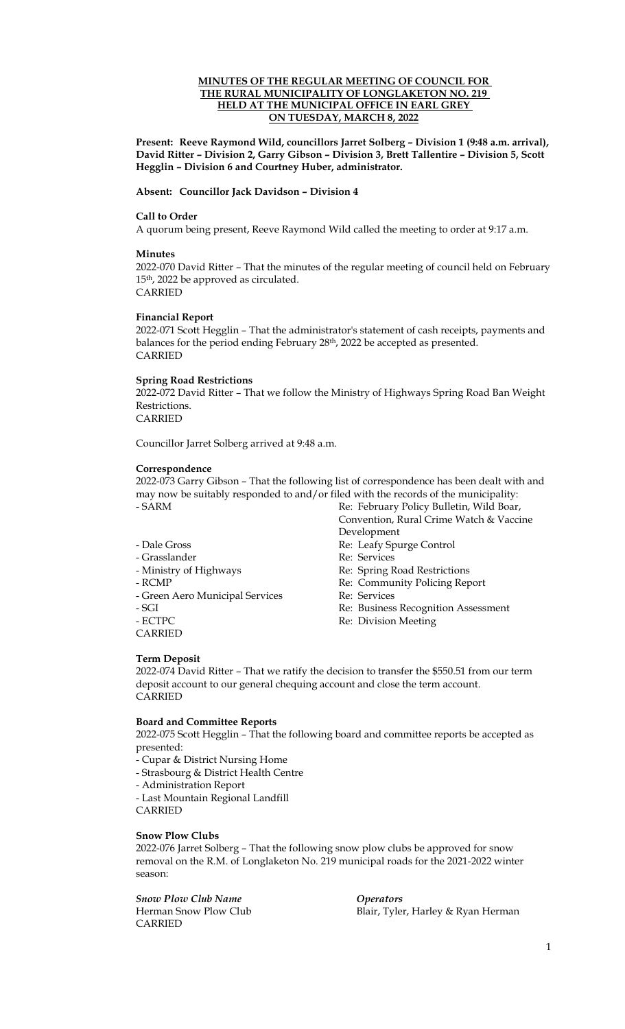## **MINUTES OF THE REGULAR MEETING OF COUNCIL FOR THE RURAL MUNICIPALITY OF LONGLAKETON NO. 219 HELD AT THE MUNICIPAL OFFICE IN EARL GREY ON TUESDAY, MARCH 8, 2022**

**Present: Reeve Raymond Wild, councillors Jarret Solberg – Division 1 (9:48 a.m. arrival), David Ritter – Division 2, Garry Gibson – Division 3, Brett Tallentire – Division 5, Scott Hegglin – Division 6 and Courtney Huber, administrator.** 

## **Absent: Councillor Jack Davidson – Division 4**

### **Call to Order**

A quorum being present, Reeve Raymond Wild called the meeting to order at 9:17 a.m.

### **Minutes**

2022-070 David Ritter – That the minutes of the regular meeting of council held on February 15th, 2022 be approved as circulated. CARRIED

## **Financial Report**

2022-071 Scott Hegglin – That the administrator's statement of cash receipts, payments and balances for the period ending February 28<sup>th</sup>, 2022 be accepted as presented. CARRIED

## **Spring Road Restrictions**

2022-072 David Ritter – That we follow the Ministry of Highways Spring Road Ban Weight Restrictions.

CARRIED

Councillor Jarret Solberg arrived at 9:48 a.m.

## **Correspondence**

2022-073 Garry Gibson – That the following list of correspondence has been dealt with and may now be suitably responded to and/or filed with the records of the municipality: - SARM Re: February Policy Bulletin, Wild Boar,

- 
- 
- 
- 
- Green Aero Municipal Services Re: Services
- 
- 
- CARRIED

Convention, Rural Crime Watch & Vaccine Development

- Dale Gross Re: Leafy Spurge Control
- Grasslander Re: Services
- Ministry of Highways Re: Spring Road Restrictions
- RCMP Re: Community Policing Report
	-
- SGI Re: Business Recognition Assessment
- ECTPC Re: Division Meeting

## **Term Deposit**

2022-074 David Ritter – That we ratify the decision to transfer the \$550.51 from our term deposit account to our general chequing account and close the term account. CARRIED

#### **Board and Committee Reports**

2022-075 Scott Hegglin – That the following board and committee reports be accepted as presented:

- Cupar & District Nursing Home
- Strasbourg & District Health Centre

- Administration Report

- Last Mountain Regional Landfill

## **Snow Plow Clubs**

CARRIED

2022-076 Jarret Solberg – That the following snow plow clubs be approved for snow removal on the R.M. of Longlaketon No. 219 municipal roads for the 2021-2022 winter season:

*Snow Plow Club Name Operators* CARRIED

Herman Snow Plow Club **Blair**, Tyler, Harley & Ryan Herman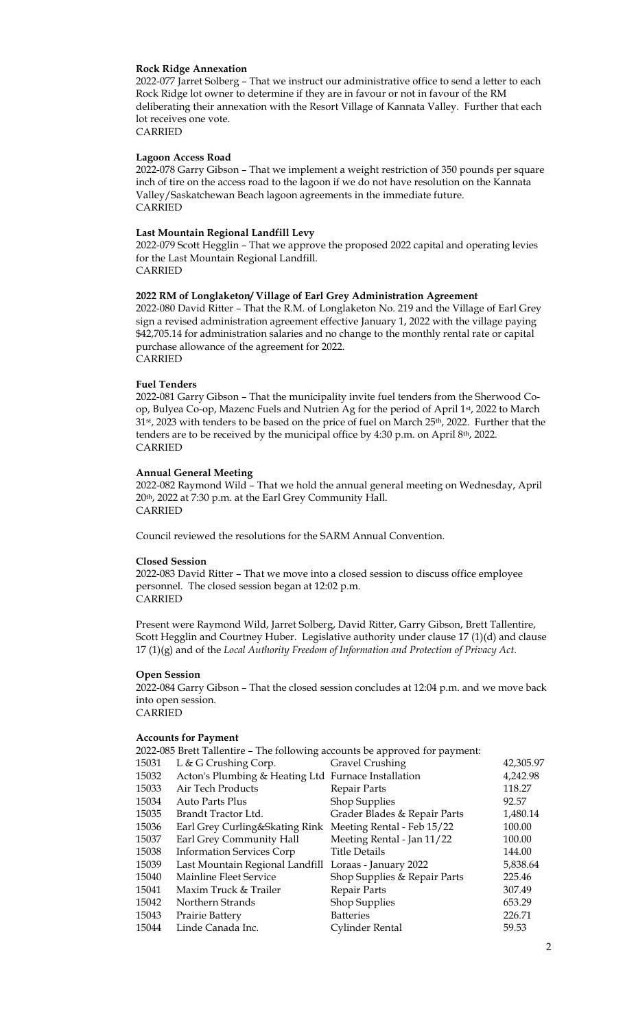#### **Rock Ridge Annexation**

2022-077 Jarret Solberg – That we instruct our administrative office to send a letter to each Rock Ridge lot owner to determine if they are in favour or not in favour of the RM deliberating their annexation with the Resort Village of Kannata Valley. Further that each lot receives one vote.

CARRIED

## **Lagoon Access Road**

2022-078 Garry Gibson – That we implement a weight restriction of 350 pounds per square inch of tire on the access road to the lagoon if we do not have resolution on the Kannata Valley/Saskatchewan Beach lagoon agreements in the immediate future. CARRIED

#### **Last Mountain Regional Landfill Levy**

2022-079 Scott Hegglin – That we approve the proposed 2022 capital and operating levies for the Last Mountain Regional Landfill. CARRIED

## **2022 RM of Longlaketon/ Village of Earl Grey Administration Agreement**

2022-080 David Ritter – That the R.M. of Longlaketon No. 219 and the Village of Earl Grey sign a revised administration agreement effective January 1, 2022 with the village paying \$42,705.14 for administration salaries and no change to the monthly rental rate or capital purchase allowance of the agreement for 2022. CARRIED

#### **Fuel Tenders**

2022-081 Garry Gibson – That the municipality invite fuel tenders from the Sherwood Coop, Bulyea Co-op, Mazenc Fuels and Nutrien Ag for the period of April 1<sup>st</sup>, 2022 to March 31<sup>st</sup>, 2023 with tenders to be based on the price of fuel on March 25<sup>th</sup>, 2022. Further that the tenders are to be received by the municipal office by 4:30 p.m. on April 8th, 2022. CARRIED

#### **Annual General Meeting**

2022-082 Raymond Wild – That we hold the annual general meeting on Wednesday, April 20th, 2022 at 7:30 p.m. at the Earl Grey Community Hall. CARRIED

Council reviewed the resolutions for the SARM Annual Convention.

#### **Closed Session**

2022-083 David Ritter – That we move into a closed session to discuss office employee personnel. The closed session began at 12:02 p.m. CARRIED

Present were Raymond Wild, Jarret Solberg, David Ritter, Garry Gibson, Brett Tallentire, Scott Hegglin and Courtney Huber. Legislative authority under clause 17 (1)(d) and clause 17 (1)(g) and of the *Local Authority Freedom of Information and Protection of Privacy Act*.

#### **Open Session**

2022-084 Garry Gibson – That the closed session concludes at 12:04 p.m. and we move back into open session.

CARRIED

## **Accounts for Payment**

|                                                                             | Trecounts for I avincing                              |                              |           |  |
|-----------------------------------------------------------------------------|-------------------------------------------------------|------------------------------|-----------|--|
| 2022-085 Brett Tallentire - The following accounts be approved for payment: |                                                       |                              |           |  |
| 15031                                                                       | L & G Crushing Corp.                                  | <b>Gravel Crushing</b>       | 42,305.97 |  |
| 15032                                                                       | Acton's Plumbing & Heating Ltd Furnace Installation   |                              | 4,242.98  |  |
| 15033                                                                       | Air Tech Products                                     | Repair Parts                 | 118.27    |  |
| 15034                                                                       | Auto Parts Plus                                       | Shop Supplies                | 92.57     |  |
| 15035                                                                       | Brandt Tractor Ltd.                                   | Grader Blades & Repair Parts | 1,480.14  |  |
| 15036                                                                       | Earl Grey Curling&Skating Rink                        | Meeting Rental - Feb 15/22   | 100.00    |  |
| 15037                                                                       | Earl Grey Community Hall                              | Meeting Rental - Jan 11/22   | 100.00    |  |
| 15038                                                                       | <b>Information Services Corp</b>                      | <b>Title Details</b>         | 144.00    |  |
| 15039                                                                       | Last Mountain Regional Landfill Loraas - January 2022 |                              | 5,838.64  |  |
| 15040                                                                       | Mainline Fleet Service                                | Shop Supplies & Repair Parts | 225.46    |  |
| 15041                                                                       | Maxim Truck & Trailer                                 | Repair Parts                 | 307.49    |  |
| 15042                                                                       | Northern Strands                                      | Shop Supplies                | 653.29    |  |
| 15043                                                                       | Prairie Battery                                       | <b>Batteries</b>             | 226.71    |  |
| 15044                                                                       | Linde Canada Inc.                                     | Cylinder Rental              | 59.53     |  |
|                                                                             |                                                       |                              |           |  |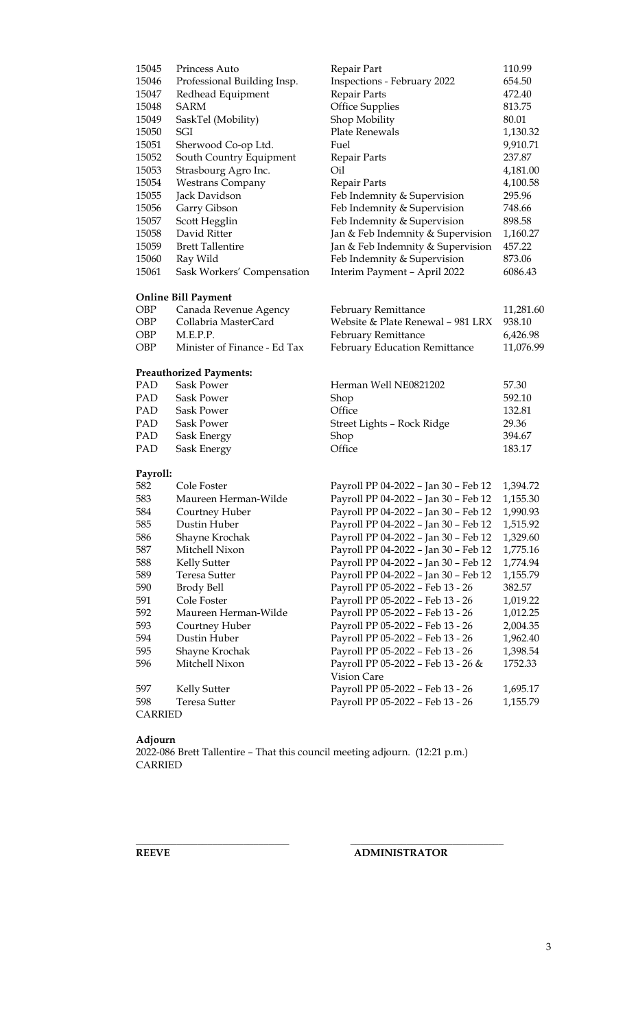| 15045<br>15046<br>15047<br>15048<br>15049<br>15050<br>15051<br>15052<br>15053<br>15054<br>15055<br>15056<br>15057<br>15058<br>15059<br>15060 | Princess Auto<br>Professional Building Insp.<br>Redhead Equipment<br>SARM<br>SaskTel (Mobility)<br>SGI<br>Sherwood Co-op Ltd.<br>South Country Equipment<br>Strasbourg Agro Inc.<br><b>Westrans Company</b><br>Jack Davidson<br>Garry Gibson<br>Scott Hegglin<br>David Ritter<br><b>Brett Tallentire</b><br>Ray Wild | Repair Part<br>Inspections - February 2022<br>Repair Parts<br><b>Office Supplies</b><br>Shop Mobility<br>Plate Renewals<br>Fuel<br>Repair Parts<br>Oil<br>Repair Parts<br>Feb Indemnity & Supervision<br>Feb Indemnity & Supervision<br>Feb Indemnity & Supervision<br>Jan & Feb Indemnity & Supervision<br>Jan & Feb Indemnity & Supervision<br>Feb Indemnity & Supervision | 110.99<br>654.50<br>472.40<br>813.75<br>80.01<br>1,130.32<br>9,910.71<br>237.87<br>4,181.00<br>4,100.58<br>295.96<br>748.66<br>898.58<br>1,160.27<br>457.22<br>873.06 |
|----------------------------------------------------------------------------------------------------------------------------------------------|----------------------------------------------------------------------------------------------------------------------------------------------------------------------------------------------------------------------------------------------------------------------------------------------------------------------|------------------------------------------------------------------------------------------------------------------------------------------------------------------------------------------------------------------------------------------------------------------------------------------------------------------------------------------------------------------------------|-----------------------------------------------------------------------------------------------------------------------------------------------------------------------|
| 15061                                                                                                                                        | Sask Workers' Compensation                                                                                                                                                                                                                                                                                           | Interim Payment - April 2022                                                                                                                                                                                                                                                                                                                                                 | 6086.43                                                                                                                                                               |
|                                                                                                                                              | <b>Online Bill Payment</b>                                                                                                                                                                                                                                                                                           |                                                                                                                                                                                                                                                                                                                                                                              |                                                                                                                                                                       |
| OBP                                                                                                                                          | Canada Revenue Agency                                                                                                                                                                                                                                                                                                | <b>February Remittance</b>                                                                                                                                                                                                                                                                                                                                                   | 11,281.60                                                                                                                                                             |
| OBP                                                                                                                                          | Collabria MasterCard                                                                                                                                                                                                                                                                                                 | Website & Plate Renewal - 981 LRX                                                                                                                                                                                                                                                                                                                                            | 938.10                                                                                                                                                                |
| OBP                                                                                                                                          | M.E.P.P.                                                                                                                                                                                                                                                                                                             | February Remittance                                                                                                                                                                                                                                                                                                                                                          | 6,426.98                                                                                                                                                              |
| OBP                                                                                                                                          | Minister of Finance - Ed Tax                                                                                                                                                                                                                                                                                         | February Education Remittance                                                                                                                                                                                                                                                                                                                                                | 11,076.99                                                                                                                                                             |
|                                                                                                                                              | <b>Preauthorized Payments:</b>                                                                                                                                                                                                                                                                                       |                                                                                                                                                                                                                                                                                                                                                                              |                                                                                                                                                                       |
| PAD                                                                                                                                          | <b>Sask Power</b>                                                                                                                                                                                                                                                                                                    | Herman Well NE0821202                                                                                                                                                                                                                                                                                                                                                        | 57.30                                                                                                                                                                 |
| PAD                                                                                                                                          | <b>Sask Power</b>                                                                                                                                                                                                                                                                                                    | Shop                                                                                                                                                                                                                                                                                                                                                                         | 592.10                                                                                                                                                                |
| PAD                                                                                                                                          | Sask Power                                                                                                                                                                                                                                                                                                           | Office                                                                                                                                                                                                                                                                                                                                                                       | 132.81                                                                                                                                                                |
| PAD                                                                                                                                          | Sask Power                                                                                                                                                                                                                                                                                                           | Street Lights - Rock Ridge                                                                                                                                                                                                                                                                                                                                                   | 29.36                                                                                                                                                                 |
| PAD.                                                                                                                                         | Sask Energy                                                                                                                                                                                                                                                                                                          | Shop                                                                                                                                                                                                                                                                                                                                                                         | 394.67                                                                                                                                                                |
| PAD                                                                                                                                          | Sask Energy                                                                                                                                                                                                                                                                                                          | Office                                                                                                                                                                                                                                                                                                                                                                       | 183.17                                                                                                                                                                |
| Payroll:                                                                                                                                     |                                                                                                                                                                                                                                                                                                                      |                                                                                                                                                                                                                                                                                                                                                                              |                                                                                                                                                                       |
| 582                                                                                                                                          | Cole Foster                                                                                                                                                                                                                                                                                                          | Payroll PP 04-2022 - Jan 30 - Feb 12                                                                                                                                                                                                                                                                                                                                         | 1,394.72                                                                                                                                                              |
| 583                                                                                                                                          | Maureen Herman-Wilde                                                                                                                                                                                                                                                                                                 | Payroll PP 04-2022 - Jan 30 - Feb 12                                                                                                                                                                                                                                                                                                                                         | 1,155.30                                                                                                                                                              |
| 584                                                                                                                                          | Courtney Huber                                                                                                                                                                                                                                                                                                       | Payroll PP 04-2022 - Jan 30 - Feb 12                                                                                                                                                                                                                                                                                                                                         | 1,990.93                                                                                                                                                              |
| 585                                                                                                                                          | Dustin Huber                                                                                                                                                                                                                                                                                                         | Payroll PP 04-2022 - Jan 30 - Feb 12                                                                                                                                                                                                                                                                                                                                         | 1,515.92                                                                                                                                                              |
| 586                                                                                                                                          | Shayne Krochak                                                                                                                                                                                                                                                                                                       | Payroll PP 04-2022 - Jan 30 - Feb 12                                                                                                                                                                                                                                                                                                                                         | 1,329.60                                                                                                                                                              |
| 587                                                                                                                                          | Mitchell Nixon                                                                                                                                                                                                                                                                                                       | Payroll PP 04-2022 - Jan 30 - Feb 12                                                                                                                                                                                                                                                                                                                                         | 1,775.16                                                                                                                                                              |
| 588                                                                                                                                          | Kelly Sutter                                                                                                                                                                                                                                                                                                         | Payroll PP 04-2022 - Jan 30 - Feb 12                                                                                                                                                                                                                                                                                                                                         | 1,774.94                                                                                                                                                              |
| 589                                                                                                                                          | <b>Teresa Sutter</b>                                                                                                                                                                                                                                                                                                 | Payroll PP 04-2022 - Jan 30 - Feb 12                                                                                                                                                                                                                                                                                                                                         | 1,155.79                                                                                                                                                              |
| 590                                                                                                                                          | <b>Brody Bell</b>                                                                                                                                                                                                                                                                                                    | Payroll PP 05-2022 - Feb 13 - 26                                                                                                                                                                                                                                                                                                                                             | 382.57                                                                                                                                                                |
| 591                                                                                                                                          | Cole Foster                                                                                                                                                                                                                                                                                                          | Payroll PP 05-2022 - Feb 13 - 26                                                                                                                                                                                                                                                                                                                                             | 1,019.22                                                                                                                                                              |
| 592                                                                                                                                          | Maureen Herman-Wilde                                                                                                                                                                                                                                                                                                 | Payroll PP 05-2022 - Feb 13 - 26                                                                                                                                                                                                                                                                                                                                             | 1,012.25                                                                                                                                                              |
| 593                                                                                                                                          | Courtney Huber                                                                                                                                                                                                                                                                                                       | Payroll PP 05-2022 - Feb 13 - 26                                                                                                                                                                                                                                                                                                                                             | 2,004.35                                                                                                                                                              |
| 594                                                                                                                                          | Dustin Huber                                                                                                                                                                                                                                                                                                         | Payroll PP 05-2022 - Feb 13 - 26                                                                                                                                                                                                                                                                                                                                             | 1,962.40                                                                                                                                                              |
| 595                                                                                                                                          | Shayne Krochak                                                                                                                                                                                                                                                                                                       | Payroll PP 05-2022 - Feb 13 - 26                                                                                                                                                                                                                                                                                                                                             | 1,398.54                                                                                                                                                              |
| 596                                                                                                                                          | Mitchell Nixon                                                                                                                                                                                                                                                                                                       | Payroll PP 05-2022 - Feb 13 - 26 &<br>Vision Care                                                                                                                                                                                                                                                                                                                            | 1752.33                                                                                                                                                               |
| 597                                                                                                                                          | Kelly Sutter                                                                                                                                                                                                                                                                                                         | Payroll PP 05-2022 - Feb 13 - 26                                                                                                                                                                                                                                                                                                                                             | 1,695.17                                                                                                                                                              |
| 598                                                                                                                                          | <b>Teresa Sutter</b>                                                                                                                                                                                                                                                                                                 | Payroll PP 05-2022 - Feb 13 - 26                                                                                                                                                                                                                                                                                                                                             | 1,155.79                                                                                                                                                              |
| <b>CARRIED</b>                                                                                                                               |                                                                                                                                                                                                                                                                                                                      |                                                                                                                                                                                                                                                                                                                                                                              |                                                                                                                                                                       |

#### **Adjourn**

2022-086 Brett Tallentire – That this council meeting adjourn. (12:21 p.m.) CARRIED

**\_\_\_\_\_\_\_\_\_\_\_\_\_\_\_\_\_\_\_\_\_\_\_\_\_\_\_\_\_\_ \_\_\_\_\_\_\_\_\_\_\_\_\_\_\_\_\_\_\_\_\_\_\_\_\_\_\_\_\_\_**

## **REEVE ADMINISTRATOR**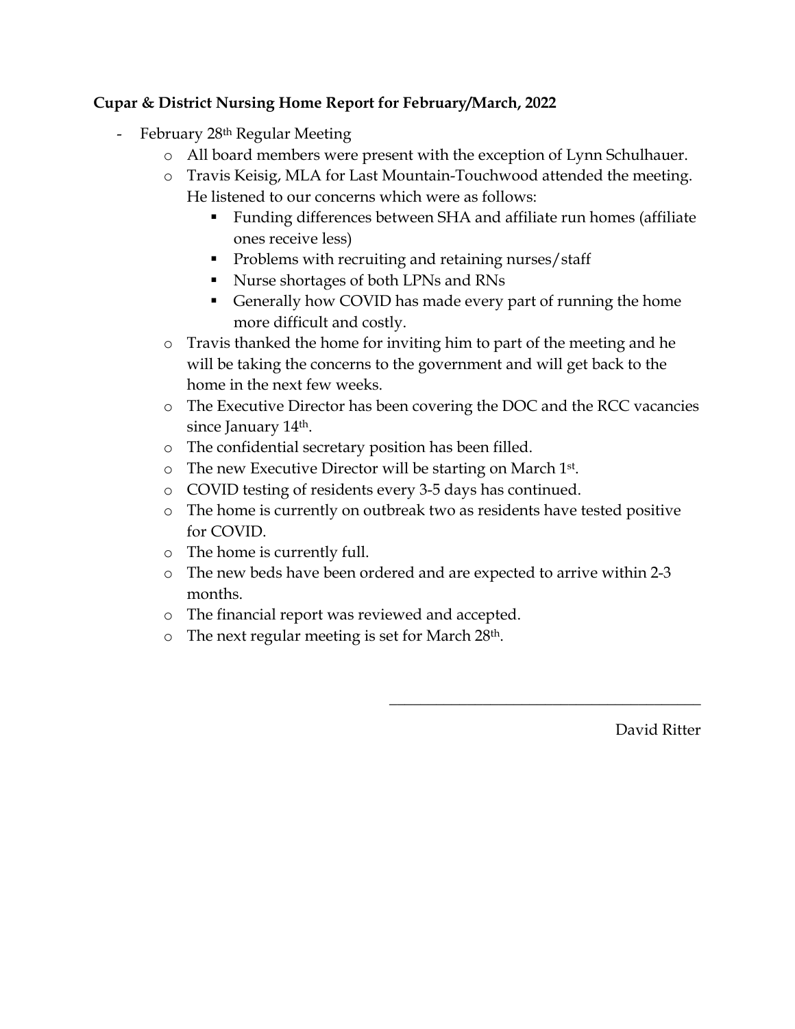# **Cupar & District Nursing Home Report for February/March, 2022**

- February 28<sup>th</sup> Regular Meeting
	- o All board members were present with the exception of Lynn Schulhauer.
	- o Travis Keisig, MLA for Last Mountain-Touchwood attended the meeting. He listened to our concerns which were as follows:
		- Funding differences between SHA and affiliate run homes (affiliate ones receive less)
		- **Problems with recruiting and retaining nurses/staff**
		- Nurse shortages of both LPNs and RNs
		- Generally how COVID has made every part of running the home more difficult and costly.
	- o Travis thanked the home for inviting him to part of the meeting and he will be taking the concerns to the government and will get back to the home in the next few weeks.
	- o The Executive Director has been covering the DOC and the RCC vacancies since January 14<sup>th</sup>.
	- o The confidential secretary position has been filled.
	- o The new Executive Director will be starting on March 1st.
	- o COVID testing of residents every 3-5 days has continued.
	- o The home is currently on outbreak two as residents have tested positive for COVID.
	- o The home is currently full.
	- o The new beds have been ordered and are expected to arrive within 2-3 months.
	- o The financial report was reviewed and accepted.
	- o The next regular meeting is set for March 28th.

David Ritter

 $\overline{\phantom{a}}$  , where  $\overline{\phantom{a}}$  , where  $\overline{\phantom{a}}$  ,  $\overline{\phantom{a}}$  ,  $\overline{\phantom{a}}$  ,  $\overline{\phantom{a}}$  ,  $\overline{\phantom{a}}$  ,  $\overline{\phantom{a}}$  ,  $\overline{\phantom{a}}$  ,  $\overline{\phantom{a}}$  ,  $\overline{\phantom{a}}$  ,  $\overline{\phantom{a}}$  ,  $\overline{\phantom{a}}$  ,  $\overline{\phantom{a}}$  ,  $\overline{\phantom{a}}$  ,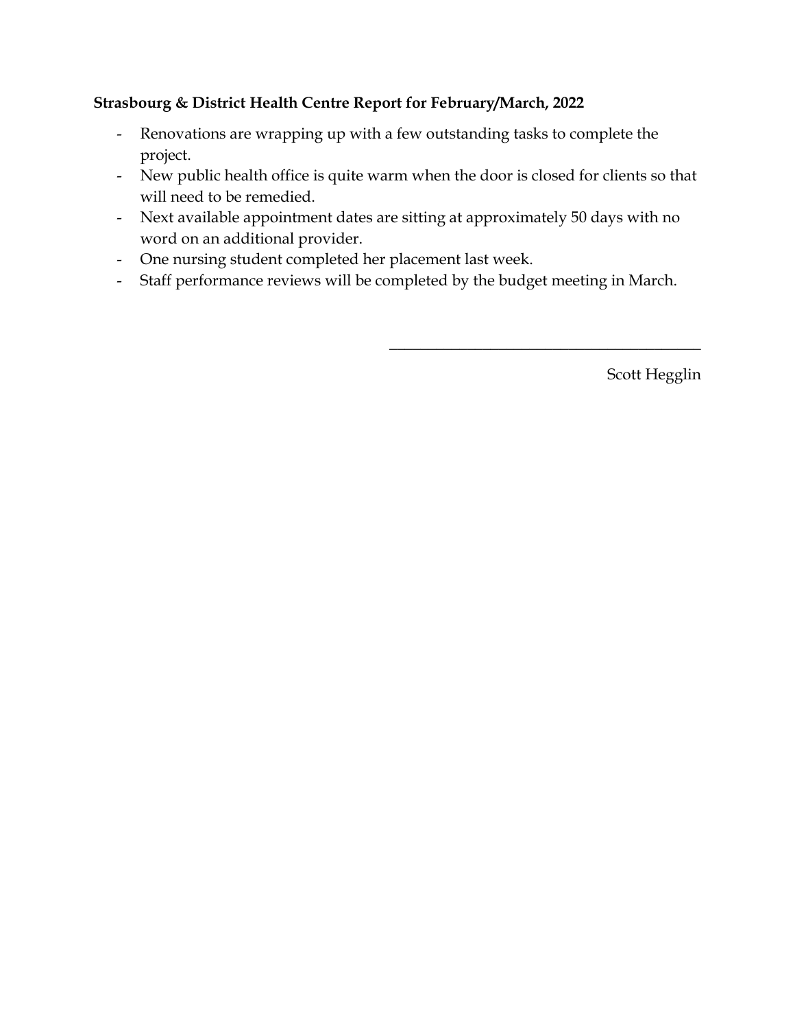# **Strasbourg & District Health Centre Report for February/March, 2022**

- Renovations are wrapping up with a few outstanding tasks to complete the project.
- New public health office is quite warm when the door is closed for clients so that will need to be remedied.
- Next available appointment dates are sitting at approximately 50 days with no word on an additional provider.
- One nursing student completed her placement last week.
- Staff performance reviews will be completed by the budget meeting in March.

Scott Hegglin

 $\overline{\phantom{a}}$  , where  $\overline{\phantom{a}}$  , where  $\overline{\phantom{a}}$  ,  $\overline{\phantom{a}}$  ,  $\overline{\phantom{a}}$  ,  $\overline{\phantom{a}}$  ,  $\overline{\phantom{a}}$  ,  $\overline{\phantom{a}}$  ,  $\overline{\phantom{a}}$  ,  $\overline{\phantom{a}}$  ,  $\overline{\phantom{a}}$  ,  $\overline{\phantom{a}}$  ,  $\overline{\phantom{a}}$  ,  $\overline{\phantom{a}}$  ,  $\overline{\phantom{a}}$  ,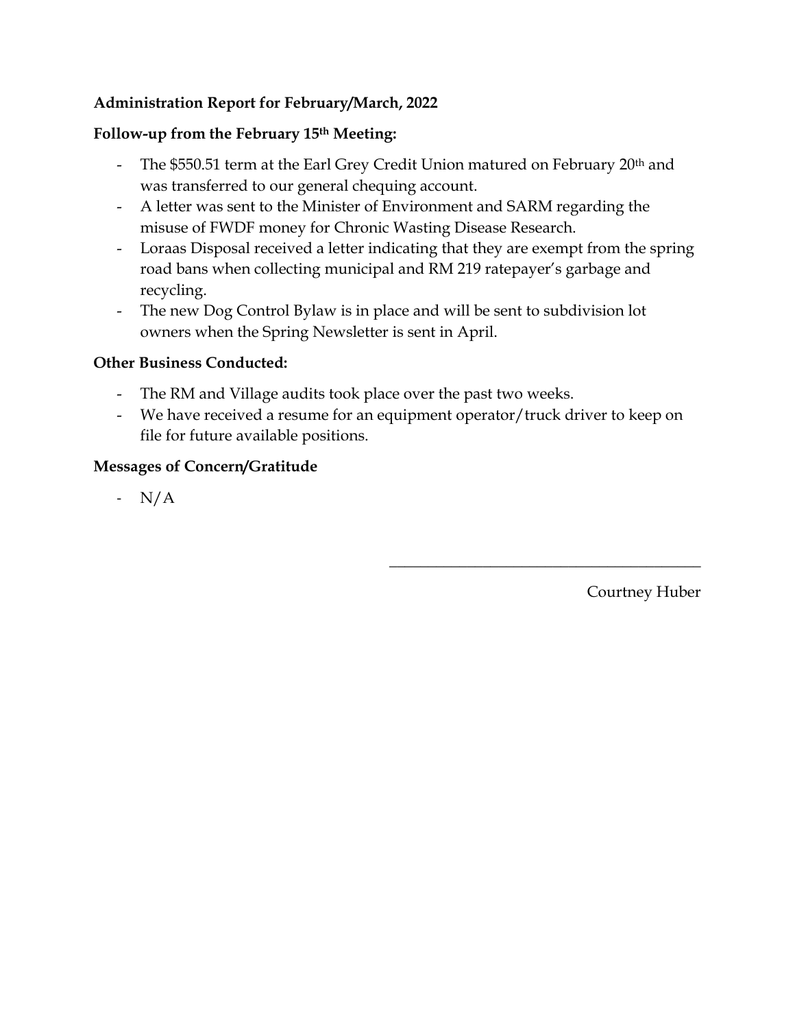# **Administration Report for February/March, 2022**

## **Follow-up from the February 15th Meeting:**

- The \$550.51 term at the Earl Grey Credit Union matured on February 20<sup>th</sup> and was transferred to our general chequing account.
- A letter was sent to the Minister of Environment and SARM regarding the misuse of FWDF money for Chronic Wasting Disease Research.
- Loraas Disposal received a letter indicating that they are exempt from the spring road bans when collecting municipal and RM 219 ratepayer's garbage and recycling.
- The new Dog Control Bylaw is in place and will be sent to subdivision lot owners when the Spring Newsletter is sent in April.

## **Other Business Conducted:**

- The RM and Village audits took place over the past two weeks.
- We have received a resume for an equipment operator/truck driver to keep on file for future available positions.

# **Messages of Concern/Gratitude**

- N/A

Courtney Huber

 $\overline{\phantom{a}}$  , where  $\overline{\phantom{a}}$  , where  $\overline{\phantom{a}}$  ,  $\overline{\phantom{a}}$  ,  $\overline{\phantom{a}}$  ,  $\overline{\phantom{a}}$  ,  $\overline{\phantom{a}}$  ,  $\overline{\phantom{a}}$  ,  $\overline{\phantom{a}}$  ,  $\overline{\phantom{a}}$  ,  $\overline{\phantom{a}}$  ,  $\overline{\phantom{a}}$  ,  $\overline{\phantom{a}}$  ,  $\overline{\phantom{a}}$  ,  $\overline{\phantom{a}}$  ,